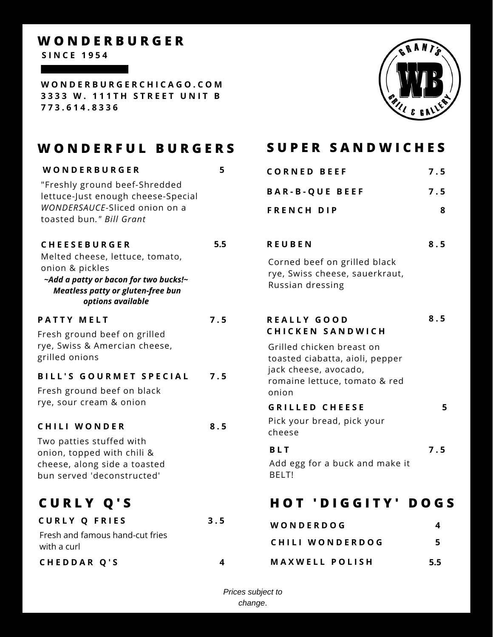## **W O N D E R B U R G E R**

**S I N C E 1 9 5 4**

**W O N D E R B U R G E R C H I C A G O . C O M 3 3 3 3 W . 1 1 1 T H S T R E E T U N I T B 7 7 3 . 6 1 4 . 8 3 3 6**

# **M E N U**

# WONDERFUL BURGERS SUPER SANDWICHES

**5**

**7 . 5**

**8 . 5**

**W O N D E R B U R G E R** "Freshly ground beef-Shredded lettuce-Just enough cheese-Special *WONDERSAUCE-*Sliced onion on a toasted bun*." Bill Grant*

### **C H E E S E B U R G E R 5.5**

Melted cheese, lettuce, tomato, onion & pickles *~Add a patty or bacon for two bucks!~ Meatless patty or gluten-free bun options available*

### **P A T T Y M E L T**

Fresh ground beef on grilled rye, Swiss & Amercian cheese, grilled onions

### **B I L L ' S G O U R M E T S P E C I A L 7 . 5**

Fresh ground beef on black rye, sour cream & onion

### **C H I L I W O N D E R**

Two patties stuffed with onion, topped with chili & cheese, along side a toasted bun served 'deconstructed'

# **C U R L Y Q ' S**

| <b>CURLY Q FRIES</b>            | 3.5 |
|---------------------------------|-----|
| Fresh and famous hand-cut fries |     |
| with a curl                     |     |
| CHEDDAR Q'S                     |     |

| <b>CORNED BEEF</b>    | 7.5 |
|-----------------------|-----|
| <b>BAR-B-QUE BEEF</b> | 7.5 |
| <b>FRENCH DIP</b>     |     |

### **8 . 5 R E U B E N**

Corned beef on grilled black rye, Swiss cheese, sauerkraut, Russian dressing

### **R E A L L Y G O O D C H I C K E N S A N D W I C H 8 . 5**

Grilled chicken breast on toasted ciabatta, aioli, pepper jack cheese, avocado, romaine lettuce, tomato & red onion

### **5 G R I L L E D C H E E S E**

Pick your bread, pick your cheese

| <b>BLT</b>                   | 7.5 |
|------------------------------|-----|
| ti ada har shurk and maka it |     |

Add egg for a buck and make it BELT!

# **H O T ' D I G G I T Y ' D O G S**

| WONDERDOG             |     |
|-----------------------|-----|
| CHILI WONDERDOG       | 5   |
| <b>MAXWELL POLISH</b> | 5.5 |